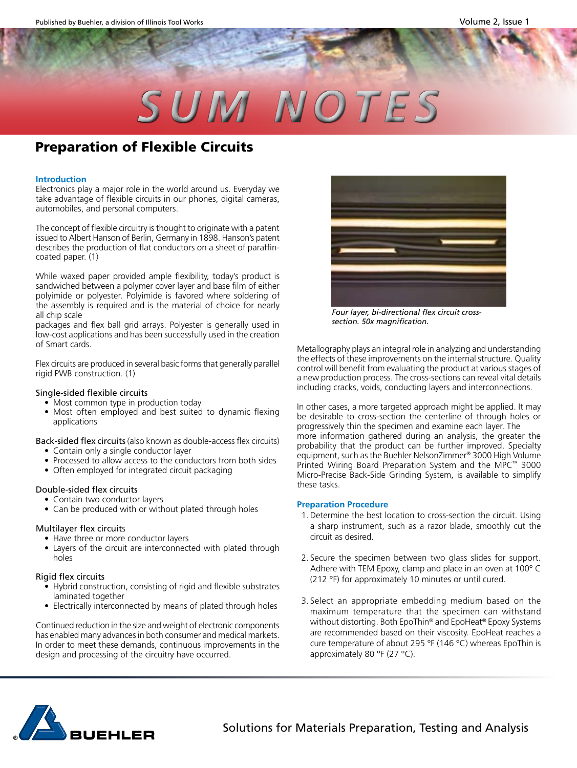# *SUM NOTES*

## **Preparation of Flexible Circuits**

#### **Introduction**

Electronics play a major role in the world around us. Everyday we take advantage of flexible circuits in our phones, digital cameras, automobiles, and personal computers.

The concept of flexible circuitry is thought to originate with a patent issued to Albert Hanson of Berlin, Germany in 1898. Hanson's patent describes the production of flat conductors on a sheet of paraffincoated paper. (1)

While waxed paper provided ample flexibility, today's product is sandwiched between a polymer cover layer and base film of either polyimide or polyester. Polyimide is favored where soldering of the assembly is required and is the material of choice for nearly all chip scale

packages and flex ball grid arrays. Polyester is generally used in low-cost applications and has been successfully used in the creation of Smart cards.

Flex circuits are produced in several basic forms that generally parallel rigid PWB construction. (1)

### Single-sided flexible circuits

- Most common type in production today
- Most often employed and best suited to dynamic flexing applications

Back-sided flex circuits (also known as double-access flex circuits)

- Contain only a single conductor layer
- Processed to allow access to the conductors from both sides
- Often employed for integrated circuit packaging

#### Double-sided flex circuits

- Contain two conductor layers
- Can be produced with or without plated through holes

### Multilayer flex circuits

- Have three or more conductor layers
- Layers of the circuit are interconnected with plated through holes

#### Rigid flex circuits

- Hybrid construction, consisting of rigid and flexible substrates laminated together
- Electrically interconnected by means of plated through holes

Continued reduction in the size and weight of electronic components has enabled many advances in both consumer and medical markets. In order to meet these demands, continuous improvements in the design and processing of the circuitry have occurred.



*Four layer, bi-directional flex circuit crosssection. 50x magnification.*

Metallography plays an integral role in analyzing and understanding the effects of these improvements on the internal structure. Quality control will benefit from evaluating the product at various stages of a new production process. The cross-sections can reveal vital details including cracks, voids, conducting layers and interconnections.

In other cases, a more targeted approach might be applied. It may be desirable to cross-section the centerline of through holes or progressively thin the specimen and examine each layer. The more information gathered during an analysis, the greater the probability that the product can be further improved. Specialty equipment, such as the Buehler NelsonZimmer® 3000 High Volume Printed Wiring Board Preparation System and the MPC™ 3000 Micro-Precise Back-Side Grinding System, is available to simplify these tasks.

#### **Preparation Procedure**

- 1.Determine the best location to cross-section the circuit. Using a sharp instrument, such as a razor blade, smoothly cut the circuit as desired.
- 2. Secure the specimen between two glass slides for support. Adhere with TEM Epoxy, clamp and place in an oven at 100° C (212 °F) for approximately 10 minutes or until cured.
- 3. Select an appropriate embedding medium based on the maximum temperature that the specimen can withstand without distorting. Both EpoThin® and EpoHeat® Epoxy Systems are recommended based on their viscosity. EpoHeat reaches a cure temperature of about 295 °F (146 °C) whereas EpoThin is approximately 80 °F (27 °C).